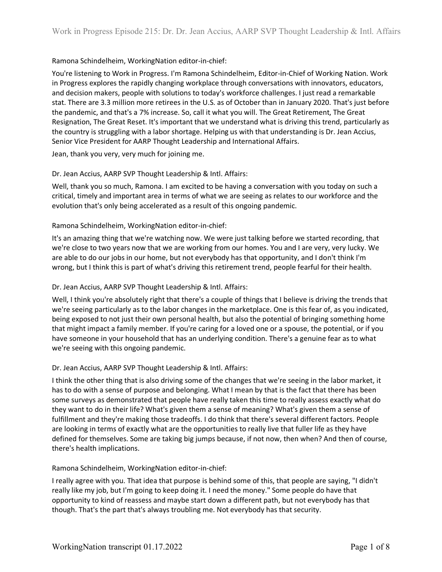## Ramona Schindelheim, WorkingNation editor-in-chief:

You're listening to Work in Progress. I'm Ramona Schindelheim, Editor-in-Chief of Working Nation. Work in Progress explores the rapidly changing workplace through conversations with innovators, educators, and decision makers, people with solutions to today's workforce challenges. I just read a remarkable stat. There are 3.3 million more retirees in the U.S. as of October than in January 2020. That's just before the pandemic, and that's a 7% increase. So, call it what you will. The Great Retirement, The Great Resignation, The Great Reset. It's important that we understand what is driving this trend, particularly as the country is struggling with a labor shortage. Helping us with that understanding is Dr. Jean Accius, Senior Vice President for AARP Thought Leadership and International Affairs.

Jean, thank you very, very much for joining me.

## Dr. Jean Accius, AARP SVP Thought Leadership & Intl. Affairs:

Well, thank you so much, Ramona. I am excited to be having a conversation with you today on such a critical, timely and important area in terms of what we are seeing as relates to our workforce and the evolution that's only being accelerated as a result of this ongoing pandemic.

## Ramona Schindelheim, WorkingNation editor-in-chief:

It's an amazing thing that we're watching now. We were just talking before we started recording, that we're close to two years now that we are working from our homes. You and I are very, very lucky. We are able to do our jobs in our home, but not everybody has that opportunity, and I don't think I'm wrong, but I think this is part of what's driving this retirement trend, people fearful for their health.

## Dr. Jean Accius, AARP SVP Thought Leadership & Intl. Affairs:

Well, I think you're absolutely right that there's a couple of things that I believe is driving the trends that we're seeing particularly as to the labor changes in the marketplace. One is this fear of, as you indicated, being exposed to not just their own personal health, but also the potential of bringing something home that might impact a family member. If you're caring for a loved one or a spouse, the potential, or if you have someone in your household that has an underlying condition. There's a genuine fear as to what we're seeing with this ongoing pandemic.

#### Dr. Jean Accius, AARP SVP Thought Leadership & Intl. Affairs:

I think the other thing that is also driving some of the changes that we're seeing in the labor market, it has to do with a sense of purpose and belonging. What I mean by that is the fact that there has been some surveys as demonstrated that people have really taken this time to really assess exactly what do they want to do in their life? What's given them a sense of meaning? What's given them a sense of fulfillment and they're making those tradeoffs. I do think that there's several different factors. People are looking in terms of exactly what are the opportunities to really live that fuller life as they have defined for themselves. Some are taking big jumps because, if not now, then when? And then of course, there's health implications.

## Ramona Schindelheim, WorkingNation editor-in-chief:

I really agree with you. That idea that purpose is behind some of this, that people are saying, "I didn't really like my job, but I'm going to keep doing it. I need the money." Some people do have that opportunity to kind of reassess and maybe start down a different path, but not everybody has that though. That's the part that's always troubling me. Not everybody has that security.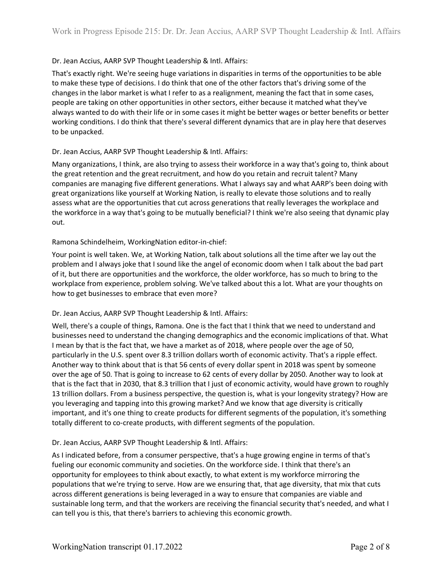## Dr. Jean Accius, AARP SVP Thought Leadership & Intl. Affairs:

That's exactly right. We're seeing huge variations in disparities in terms of the opportunities to be able to make these type of decisions. I do think that one of the other factors that's driving some of the changes in the labor market is what I refer to as a realignment, meaning the fact that in some cases, people are taking on other opportunities in other sectors, either because it matched what they've always wanted to do with their life or in some cases it might be better wages or better benefits or better working conditions. I do think that there's several different dynamics that are in play here that deserves to be unpacked.

## Dr. Jean Accius, AARP SVP Thought Leadership & Intl. Affairs:

Many organizations, I think, are also trying to assess their workforce in a way that's going to, think about the great retention and the great recruitment, and how do you retain and recruit talent? Many companies are managing five different generations. What I always say and what AARP's been doing with great organizations like yourself at Working Nation, is really to elevate those solutions and to really assess what are the opportunities that cut across generations that really leverages the workplace and the workforce in a way that's going to be mutually beneficial? I think we're also seeing that dynamic play out.

#### Ramona Schindelheim, WorkingNation editor-in-chief:

Your point is well taken. We, at Working Nation, talk about solutions all the time after we lay out the problem and I always joke that I sound like the angel of economic doom when I talk about the bad part of it, but there are opportunities and the workforce, the older workforce, has so much to bring to the workplace from experience, problem solving. We've talked about this a lot. What are your thoughts on how to get businesses to embrace that even more?

#### Dr. Jean Accius, AARP SVP Thought Leadership & Intl. Affairs:

Well, there's a couple of things, Ramona. One is the fact that I think that we need to understand and businesses need to understand the changing demographics and the economic implications of that. What I mean by that is the fact that, we have a market as of 2018, where people over the age of 50, particularly in the U.S. spent over 8.3 trillion dollars worth of economic activity. That's a ripple effect. Another way to think about that is that 56 cents of every dollar spent in 2018 was spent by someone over the age of 50. That is going to increase to 62 cents of every dollar by 2050. Another way to look at that is the fact that in 2030, that 8.3 trillion that I just of economic activity, would have grown to roughly 13 trillion dollars. From a business perspective, the question is, what is your longevity strategy? How are you leveraging and tapping into this growing market? And we know that age diversity is critically important, and it's one thing to create products for different segments of the population, it's something totally different to co-create products, with different segments of the population.

## Dr. Jean Accius, AARP SVP Thought Leadership & Intl. Affairs:

As I indicated before, from a consumer perspective, that's a huge growing engine in terms of that's fueling our economic community and societies. On the workforce side. I think that there's an opportunity for employees to think about exactly, to what extent is my workforce mirroring the populations that we're trying to serve. How are we ensuring that, that age diversity, that mix that cuts across different generations is being leveraged in a way to ensure that companies are viable and sustainable long term, and that the workers are receiving the financial security that's needed, and what I can tell you is this, that there's barriers to achieving this economic growth.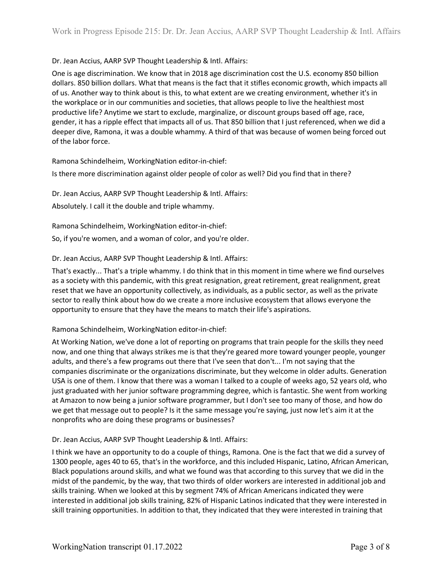## Dr. Jean Accius, AARP SVP Thought Leadership & Intl. Affairs:

One is age discrimination. We know that in 2018 age discrimination cost the U.S. economy 850 billion dollars. 850 billion dollars. What that means is the fact that it stifles economic growth, which impacts all of us. Another way to think about is this, to what extent are we creating environment, whether it's in the workplace or in our communities and societies, that allows people to live the healthiest most productive life? Anytime we start to exclude, marginalize, or discount groups based off age, race, gender, it has a ripple effect that impacts all of us. That 850 billion that I just referenced, when we did a deeper dive, Ramona, it was a double whammy. A third of that was because of women being forced out of the labor force.

Ramona Schindelheim, WorkingNation editor-in-chief:

Is there more discrimination against older people of color as well? Did you find that in there?

Dr. Jean Accius, AARP SVP Thought Leadership & Intl. Affairs:

Absolutely. I call it the double and triple whammy.

Ramona Schindelheim, WorkingNation editor-in-chief:

So, if you're women, and a woman of color, and you're older.

Dr. Jean Accius, AARP SVP Thought Leadership & Intl. Affairs:

That's exactly... That's a triple whammy. I do think that in this moment in time where we find ourselves as a society with this pandemic, with this great resignation, great retirement, great realignment, great reset that we have an opportunity collectively, as individuals, as a public sector, as well as the private sector to really think about how do we create a more inclusive ecosystem that allows everyone the opportunity to ensure that they have the means to match their life's aspirations.

#### Ramona Schindelheim, WorkingNation editor-in-chief:

At Working Nation, we've done a lot of reporting on programs that train people for the skills they need now, and one thing that always strikes me is that they're geared more toward younger people, younger adults, and there's a few programs out there that I've seen that don't... I'm not saying that the companies discriminate or the organizations discriminate, but they welcome in older adults. Generation USA is one of them. I know that there was a woman I talked to a couple of weeks ago, 52 years old, who just graduated with her junior software programming degree, which is fantastic. She went from working at Amazon to now being a junior software programmer, but I don't see too many of those, and how do we get that message out to people? Is it the same message you're saying, just now let's aim it at the nonprofits who are doing these programs or businesses?

#### Dr. Jean Accius, AARP SVP Thought Leadership & Intl. Affairs:

I think we have an opportunity to do a couple of things, Ramona. One is the fact that we did a survey of 1300 people, ages 40 to 65, that's in the workforce, and this included Hispanic, Latino, African American, Black populations around skills, and what we found was that according to this survey that we did in the midst of the pandemic, by the way, that two thirds of older workers are interested in additional job and skills training. When we looked at this by segment 74% of African Americans indicated they were interested in additional job skills training, 82% of Hispanic Latinos indicated that they were interested in skill training opportunities. In addition to that, they indicated that they were interested in training that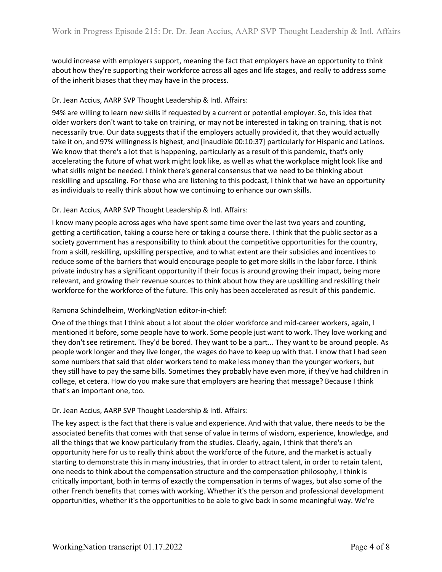would increase with employers support, meaning the fact that employers have an opportunity to think about how they're supporting their workforce across all ages and life stages, and really to address some of the inherit biases that they may have in the process.

## Dr. Jean Accius, AARP SVP Thought Leadership & Intl. Affairs:

94% are willing to learn new skills if requested by a current or potential employer. So, this idea that older workers don't want to take on training, or may not be interested in taking on training, that is not necessarily true. Our data suggests that if the employers actually provided it, that they would actually take it on, and 97% willingness is highest, and [inaudible 00:10:37] particularly for Hispanic and Latinos. We know that there's a lot that is happening, particularly as a result of this pandemic, that's only accelerating the future of what work might look like, as well as what the workplace might look like and what skills might be needed. I think there's general consensus that we need to be thinking about reskilling and upscaling. For those who are listening to this podcast, I think that we have an opportunity as individuals to really think about how we continuing to enhance our own skills.

#### Dr. Jean Accius, AARP SVP Thought Leadership & Intl. Affairs:

I know many people across ages who have spent some time over the last two years and counting, getting a certification, taking a course here or taking a course there. I think that the public sector as a society government has a responsibility to think about the competitive opportunities for the country, from a skill, reskilling, upskilling perspective, and to what extent are their subsidies and incentives to reduce some of the barriers that would encourage people to get more skills in the labor force. I think private industry has a significant opportunity if their focus is around growing their impact, being more relevant, and growing their revenue sources to think about how they are upskilling and reskilling their workforce for the workforce of the future. This only has been accelerated as result of this pandemic.

#### Ramona Schindelheim, WorkingNation editor-in-chief:

One of the things that I think about a lot about the older workforce and mid-career workers, again, I mentioned it before, some people have to work. Some people just want to work. They love working and they don't see retirement. They'd be bored. They want to be a part... They want to be around people. As people work longer and they live longer, the wages do have to keep up with that. I know that I had seen some numbers that said that older workers tend to make less money than the younger workers, but they still have to pay the same bills. Sometimes they probably have even more, if they've had children in college, et cetera. How do you make sure that employers are hearing that message? Because I think that's an important one, too.

#### Dr. Jean Accius, AARP SVP Thought Leadership & Intl. Affairs:

The key aspect is the fact that there is value and experience. And with that value, there needs to be the associated benefits that comes with that sense of value in terms of wisdom, experience, knowledge, and all the things that we know particularly from the studies. Clearly, again, I think that there's an opportunity here for us to really think about the workforce of the future, and the market is actually starting to demonstrate this in many industries, that in order to attract talent, in order to retain talent, one needs to think about the compensation structure and the compensation philosophy, I think is critically important, both in terms of exactly the compensation in terms of wages, but also some of the other French benefits that comes with working. Whether it's the person and professional development opportunities, whether it's the opportunities to be able to give back in some meaningful way. We're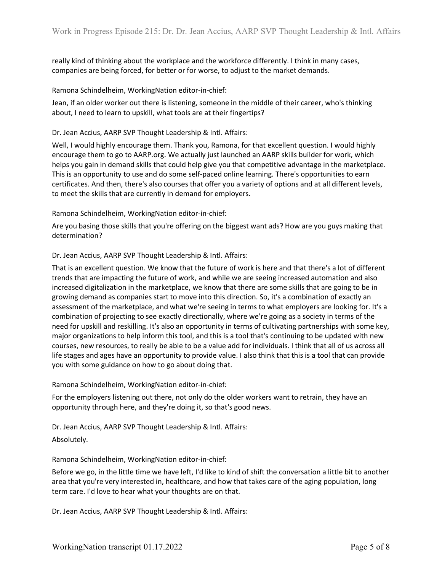really kind of thinking about the workplace and the workforce differently. I think in many cases, companies are being forced, for better or for worse, to adjust to the market demands.

#### Ramona Schindelheim, WorkingNation editor-in-chief:

Jean, if an older worker out there is listening, someone in the middle of their career, who's thinking about, I need to learn to upskill, what tools are at their fingertips?

#### Dr. Jean Accius, AARP SVP Thought Leadership & Intl. Affairs:

Well, I would highly encourage them. Thank you, Ramona, for that excellent question. I would highly encourage them to go to AARP.org. We actually just launched an AARP skills builder for work, which helps you gain in demand skills that could help give you that competitive advantage in the marketplace. This is an opportunity to use and do some self-paced online learning. There's opportunities to earn certificates. And then, there's also courses that offer you a variety of options and at all different levels, to meet the skills that are currently in demand for employers.

#### Ramona Schindelheim, WorkingNation editor-in-chief:

Are you basing those skills that you're offering on the biggest want ads? How are you guys making that determination?

#### Dr. Jean Accius, AARP SVP Thought Leadership & Intl. Affairs:

That is an excellent question. We know that the future of work is here and that there's a lot of different trends that are impacting the future of work, and while we are seeing increased automation and also increased digitalization in the marketplace, we know that there are some skills that are going to be in growing demand as companies start to move into this direction. So, it's a combination of exactly an assessment of the marketplace, and what we're seeing in terms to what employers are looking for. It's a combination of projecting to see exactly directionally, where we're going as a society in terms of the need for upskill and reskilling. It's also an opportunity in terms of cultivating partnerships with some key, major organizations to help inform this tool, and this is a tool that's continuing to be updated with new courses, new resources, to really be able to be a value add for individuals. I think that all of us across all life stages and ages have an opportunity to provide value. I also think that this is a tool that can provide you with some guidance on how to go about doing that.

Ramona Schindelheim, WorkingNation editor-in-chief:

For the employers listening out there, not only do the older workers want to retrain, they have an opportunity through here, and they're doing it, so that's good news.

Dr. Jean Accius, AARP SVP Thought Leadership & Intl. Affairs:

#### Absolutely.

Ramona Schindelheim, WorkingNation editor-in-chief:

Before we go, in the little time we have left, I'd like to kind of shift the conversation a little bit to another area that you're very interested in, healthcare, and how that takes care of the aging population, long term care. I'd love to hear what your thoughts are on that.

Dr. Jean Accius, AARP SVP Thought Leadership & Intl. Affairs: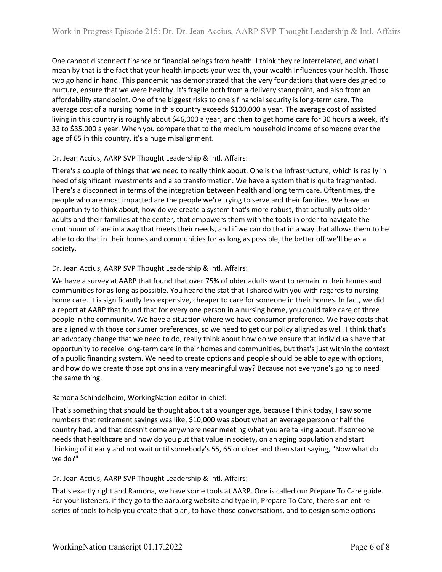One cannot disconnect finance or financial beings from health. I think they're interrelated, and what I mean by that is the fact that your health impacts your wealth, your wealth influences your health. Those two go hand in hand. This pandemic has demonstrated that the very foundations that were designed to nurture, ensure that we were healthy. It's fragile both from a delivery standpoint, and also from an affordability standpoint. One of the biggest risks to one's financial security is long-term care. The average cost of a nursing home in this country exceeds \$100,000 a year. The average cost of assisted living in this country is roughly about \$46,000 a year, and then to get home care for 30 hours a week, it's 33 to \$35,000 a year. When you compare that to the medium household income of someone over the age of 65 in this country, it's a huge misalignment.

## Dr. Jean Accius, AARP SVP Thought Leadership & Intl. Affairs:

There's a couple of things that we need to really think about. One is the infrastructure, which is really in need of significant investments and also transformation. We have a system that is quite fragmented. There's a disconnect in terms of the integration between health and long term care. Oftentimes, the people who are most impacted are the people we're trying to serve and their families. We have an opportunity to think about, how do we create a system that's more robust, that actually puts older adults and their families at the center, that empowers them with the tools in order to navigate the continuum of care in a way that meets their needs, and if we can do that in a way that allows them to be able to do that in their homes and communities for as long as possible, the better off we'll be as a society.

## Dr. Jean Accius, AARP SVP Thought Leadership & Intl. Affairs:

We have a survey at AARP that found that over 75% of older adults want to remain in their homes and communities for as long as possible. You heard the stat that I shared with you with regards to nursing home care. It is significantly less expensive, cheaper to care for someone in their homes. In fact, we did a report at AARP that found that for every one person in a nursing home, you could take care of three people in the community. We have a situation where we have consumer preference. We have costs that are aligned with those consumer preferences, so we need to get our policy aligned as well. I think that's an advocacy change that we need to do, really think about how do we ensure that individuals have that opportunity to receive long-term care in their homes and communities, but that's just within the context of a public financing system. We need to create options and people should be able to age with options, and how do we create those options in a very meaningful way? Because not everyone's going to need the same thing.

## Ramona Schindelheim, WorkingNation editor-in-chief:

That's something that should be thought about at a younger age, because I think today, I saw some numbers that retirement savings was like, \$10,000 was about what an average person or half the country had, and that doesn't come anywhere near meeting what you are talking about. If someone needs that healthcare and how do you put that value in society, on an aging population and start thinking of it early and not wait until somebody's 55, 65 or older and then start saying, "Now what do we do?"

## Dr. Jean Accius, AARP SVP Thought Leadership & Intl. Affairs:

That's exactly right and Ramona, we have some tools at AARP. One is called our Prepare To Care guide. For your listeners, if they go to the aarp.org website and type in, Prepare To Care, there's an entire series of tools to help you create that plan, to have those conversations, and to design some options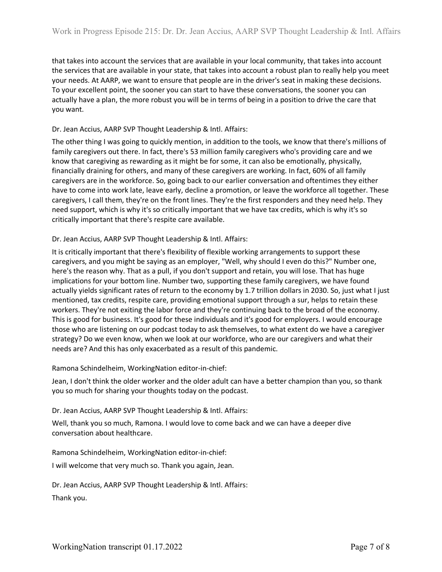that takes into account the services that are available in your local community, that takes into account the services that are available in your state, that takes into account a robust plan to really help you meet your needs. At AARP, we want to ensure that people are in the driver's seat in making these decisions. To your excellent point, the sooner you can start to have these conversations, the sooner you can actually have a plan, the more robust you will be in terms of being in a position to drive the care that you want.

### Dr. Jean Accius, AARP SVP Thought Leadership & Intl. Affairs:

The other thing I was going to quickly mention, in addition to the tools, we know that there's millions of family caregivers out there. In fact, there's 53 million family caregivers who's providing care and we know that caregiving as rewarding as it might be for some, it can also be emotionally, physically, financially draining for others, and many of these caregivers are working. In fact, 60% of all family caregivers are in the workforce. So, going back to our earlier conversation and oftentimes they either have to come into work late, leave early, decline a promotion, or leave the workforce all together. These caregivers, I call them, they're on the front lines. They're the first responders and they need help. They need support, which is why it's so critically important that we have tax credits, which is why it's so critically important that there's respite care available.

## Dr. Jean Accius, AARP SVP Thought Leadership & Intl. Affairs:

It is critically important that there's flexibility of flexible working arrangements to support these caregivers, and you might be saying as an employer, "Well, why should I even do this?" Number one, here's the reason why. That as a pull, if you don't support and retain, you will lose. That has huge implications for your bottom line. Number two, supporting these family caregivers, we have found actually yields significant rates of return to the economy by 1.7 trillion dollars in 2030. So, just what I just mentioned, tax credits, respite care, providing emotional support through a sur, helps to retain these workers. They're not exiting the labor force and they're continuing back to the broad of the economy. This is good for business. It's good for these individuals and it's good for employers. I would encourage those who are listening on our podcast today to ask themselves, to what extent do we have a caregiver strategy? Do we even know, when we look at our workforce, who are our caregivers and what their needs are? And this has only exacerbated as a result of this pandemic.

#### Ramona Schindelheim, WorkingNation editor-in-chief:

Jean, I don't think the older worker and the older adult can have a better champion than you, so thank you so much for sharing your thoughts today on the podcast.

## Dr. Jean Accius, AARP SVP Thought Leadership & Intl. Affairs:

Well, thank you so much, Ramona. I would love to come back and we can have a deeper dive conversation about healthcare.

Ramona Schindelheim, WorkingNation editor-in-chief:

I will welcome that very much so. Thank you again, Jean.

Dr. Jean Accius, AARP SVP Thought Leadership & Intl. Affairs:

Thank you.